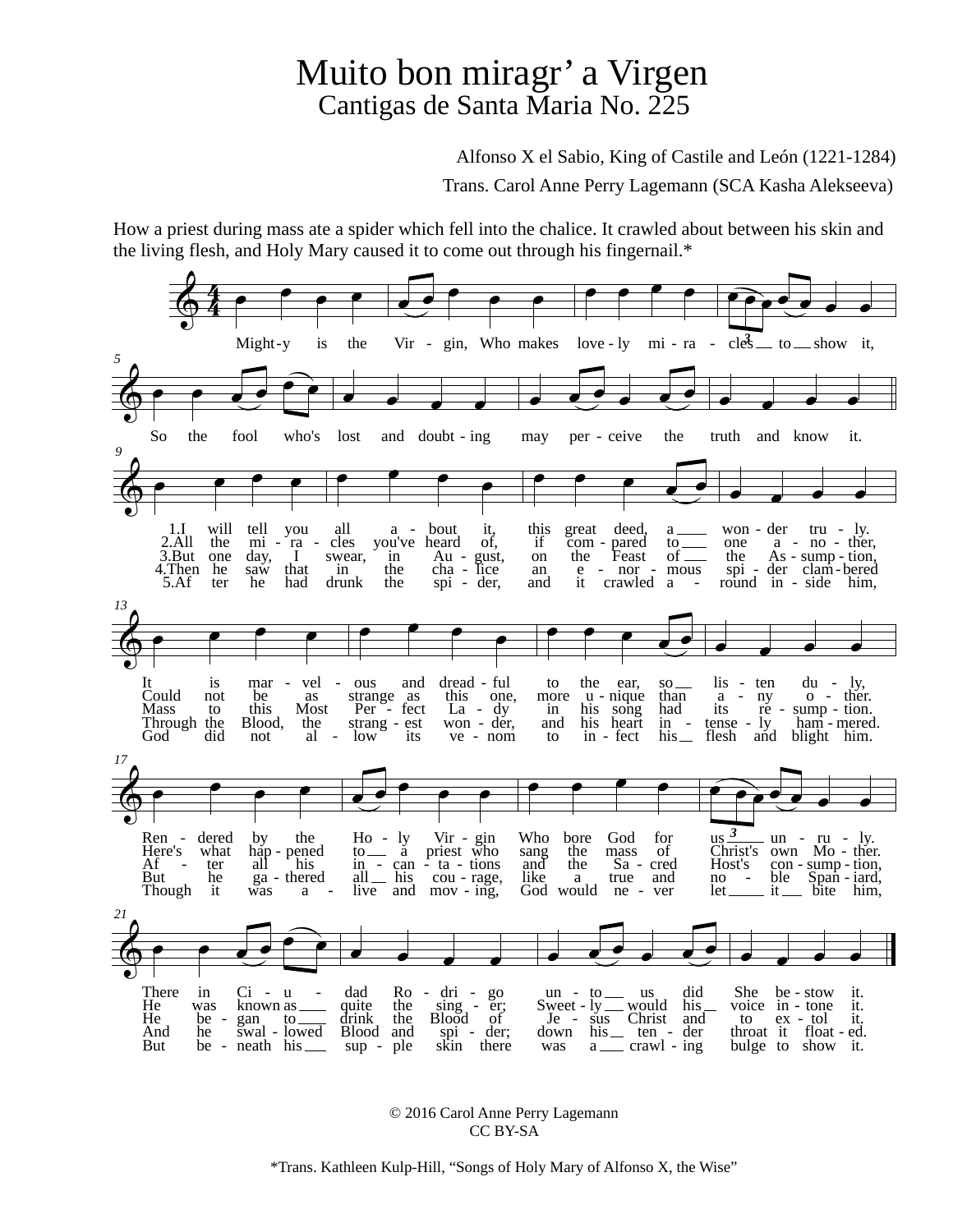## Muito bon miragr' a Virgen Cantigas de Santa Maria No. 225

Alfonso X el Sabio, King of Castile and León (1221-1284)

Trans. Carol Anne Perry Lagemann (SCA Kasha Alekseeva)

How a priest during mass ate a spider which fell into the chalice. It crawled about between his skin and the living flesh, and Holy Mary caused it to come out through his fingernail.\*



© 2016 Carol Anne Perry Lagemann CC BY-SA

\*Trans. Kathleen Kulp-Hill, "Songs of Holy Mary of Alfonso X, the Wise"